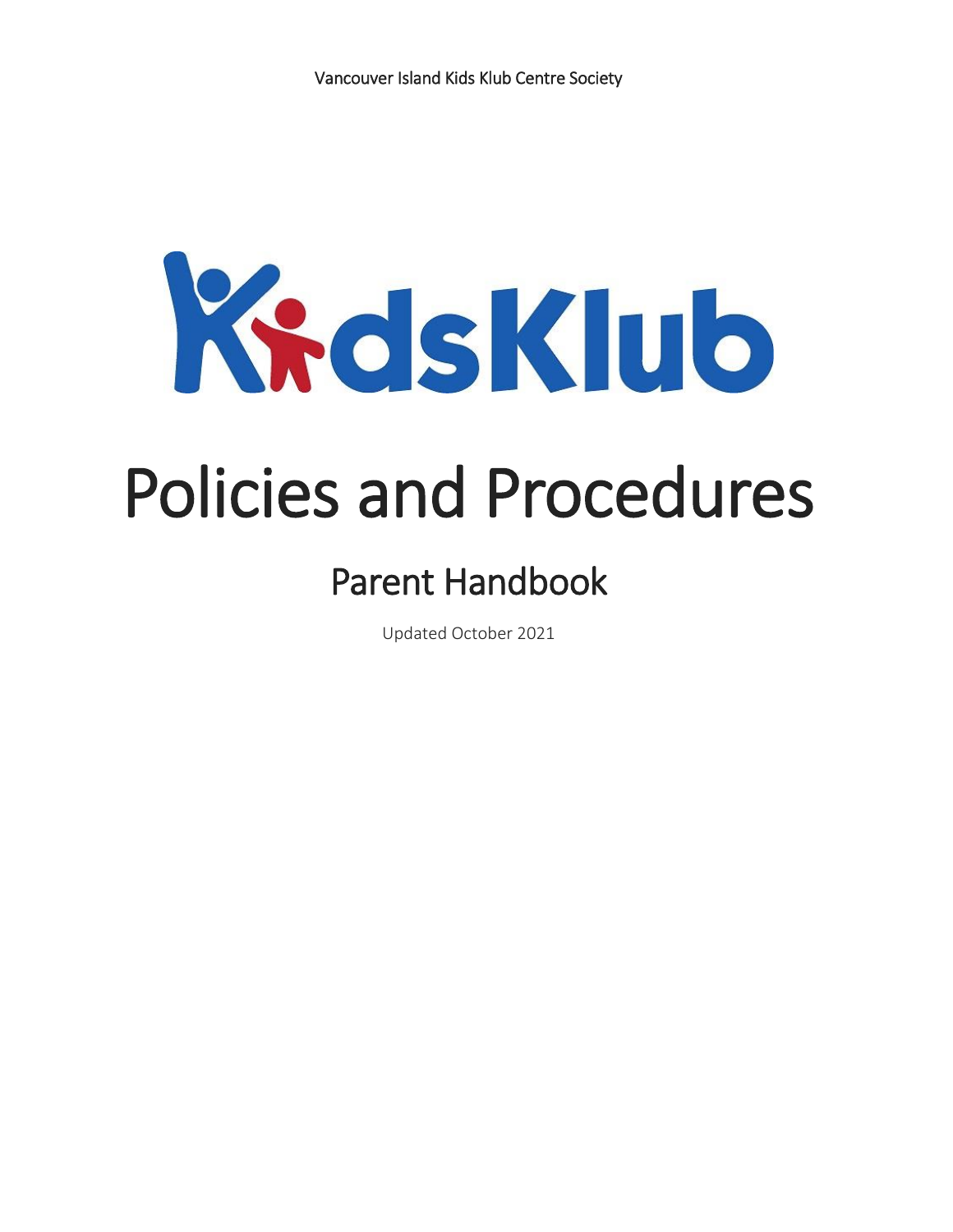

# Policies and Procedures

# Parent Handbook

Updated October 2021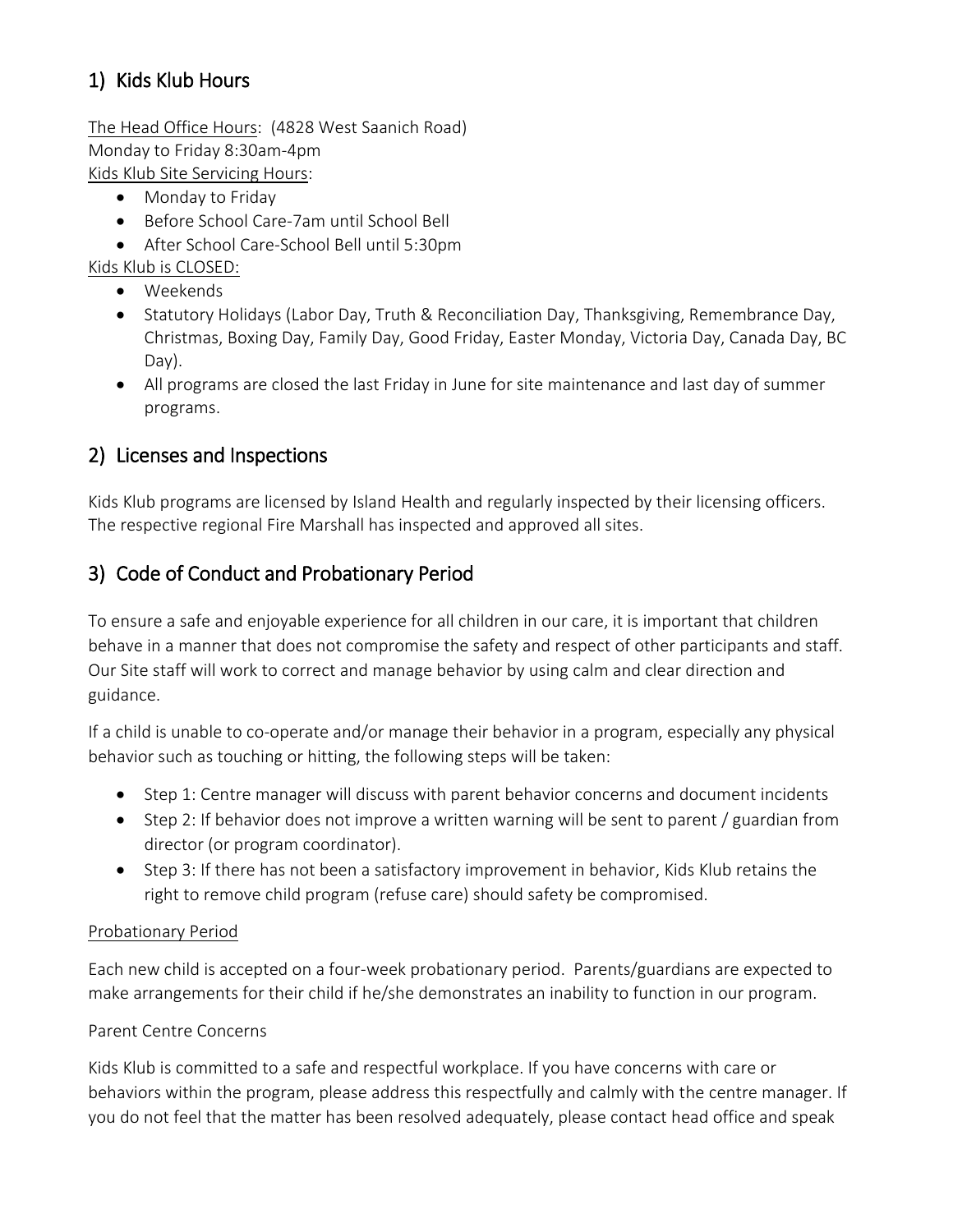# 1) Kids Klub Hours

The Head Office Hours: (4828 West Saanich Road) Monday to Friday 8:30am-4pm Kids Klub Site Servicing Hours:

- Monday to Friday
- Before School Care-7am until School Bell
- After School Care-School Bell until 5:30pm

Kids Klub is CLOSED:

- Weekends
- Statutory Holidays (Labor Day, Truth & Reconciliation Day, Thanksgiving, Remembrance Day, Christmas, Boxing Day, Family Day, Good Friday, Easter Monday, Victoria Day, Canada Day, BC Day).
- All programs are closed the last Friday in June for site maintenance and last day of summer programs.

#### 2) Licenses and Inspections

Kids Klub programs are licensed by Island Health and regularly inspected by their licensing officers. The respective regional Fire Marshall has inspected and approved all sites.

#### 3) Code of Conduct and Probationary Period

To ensure a safe and enjoyable experience for all children in our care, it is important that children behave in a manner that does not compromise the safety and respect of other participants and staff. Our Site staff will work to correct and manage behavior by using calm and clear direction and guidance.

If a child is unable to co-operate and/or manage their behavior in a program, especially any physical behavior such as touching or hitting, the following steps will be taken:

- Step 1: Centre manager will discuss with parent behavior concerns and document incidents
- Step 2: If behavior does not improve a written warning will be sent to parent / guardian from director (or program coordinator).
- Step 3: If there has not been a satisfactory improvement in behavior, Kids Klub retains the right to remove child program (refuse care) should safety be compromised.

#### Probationary Period

Each new child is accepted on a four-week probationary period. Parents/guardians are expected to make arrangements for their child if he/she demonstrates an inability to function in our program.

#### Parent Centre Concerns

Kids Klub is committed to a safe and respectful workplace. If you have concerns with care or behaviors within the program, please address this respectfully and calmly with the centre manager. If you do not feel that the matter has been resolved adequately, please contact head office and speak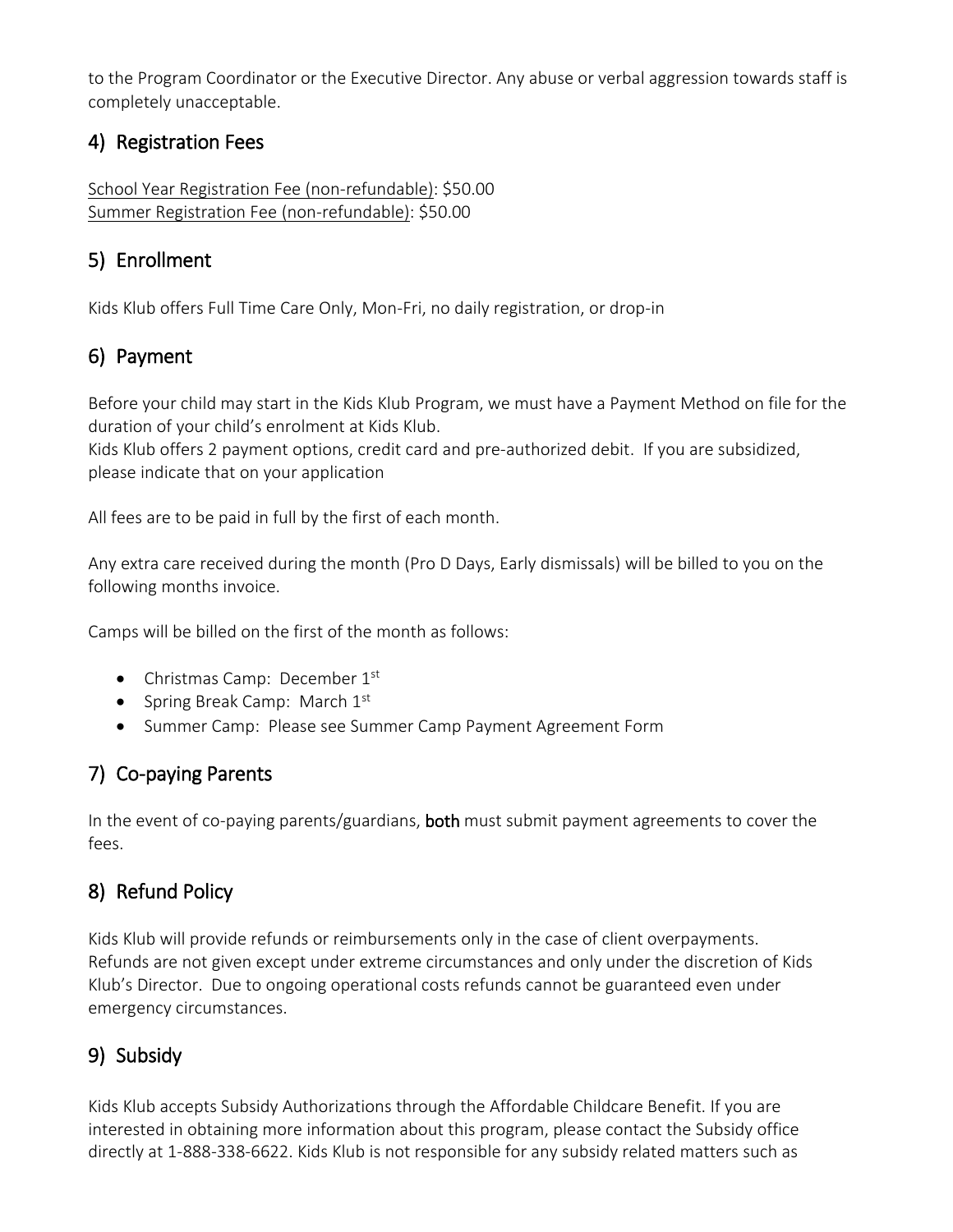to the Program Coordinator or the Executive Director. Any abuse or verbal aggression towards staff is completely unacceptable.

#### 4) Registration Fees

School Year Registration Fee (non-refundable): \$50.00 Summer Registration Fee (non-refundable): \$50.00

#### 5) Enrollment

Kids Klub offers Full Time Care Only, Mon-Fri, no daily registration, or drop-in

# 6) Payment

Before your child may start in the Kids Klub Program, we must have a Payment Method on file for the duration of your child's enrolment at Kids Klub.

Kids Klub offers 2 payment options, credit card and pre-authorized debit. If you are subsidized, please indicate that on your application

All fees are to be paid in full by the first of each month.

Any extra care received during the month (Pro D Days, Early dismissals) will be billed to you on the following months invoice.

Camps will be billed on the first of the month as follows:

- Christmas Camp: December 1<sup>st</sup>
- Spring Break Camp: March  $1<sup>st</sup>$
- Summer Camp: Please see Summer Camp Payment Agreement Form

### 7) Co-paying Parents

In the event of co-paying parents/guardians, both must submit payment agreements to cover the fees.

#### 8) Refund Policy

Kids Klub will provide refunds or reimbursements only in the case of client overpayments. Refunds are not given except under extreme circumstances and only under the discretion of Kids Klub's Director. Due to ongoing operational costs refunds cannot be guaranteed even under emergency circumstances.

# 9) Subsidy

Kids Klub accepts Subsidy Authorizations through the Affordable Childcare Benefit. If you are interested in obtaining more information about this program, please contact the Subsidy office directly at 1-888-338-6622. Kids Klub is not responsible for any subsidy related matters such as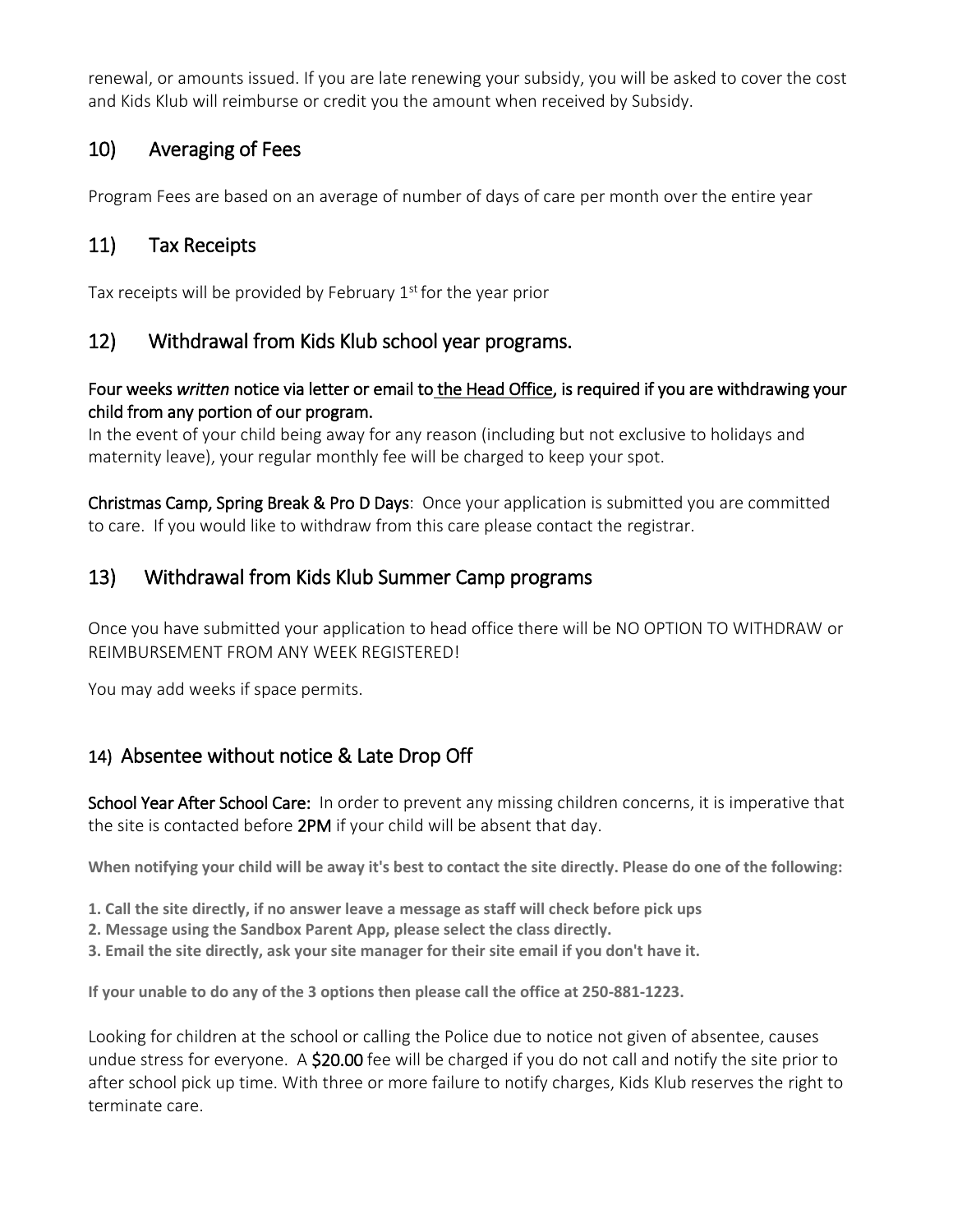renewal, or amounts issued. If you are late renewing your subsidy, you will be asked to cover the cost and Kids Klub will reimburse or credit you the amount when received by Subsidy.

## 10) Averaging of Fees

Program Fees are based on an average of number of days of care per month over the entire year

#### 11) Tax Receipts

Tax receipts will be provided by February  $1<sup>st</sup>$  for the year prior

#### 12) Withdrawal from Kids Klub school year programs.

#### Four weeks *written* notice via letter or email to the Head Office, is required if you are withdrawing your child from any portion of our program.

In the event of your child being away for any reason (including but not exclusive to holidays and maternity leave), your regular monthly fee will be charged to keep your spot.

Christmas Camp, Spring Break & Pro D Days: Once your application is submitted you are committed to care. If you would like to withdraw from this care please contact the registrar.

### 13) Withdrawal from Kids Klub Summer Camp programs

Once you have submitted your application to head office there will be NO OPTION TO WITHDRAW or REIMBURSEMENT FROM ANY WEEK REGISTERED!

You may add weeks if space permits.

#### 14) Absentee without notice & Late Drop Off

School Year After School Care: In order to prevent any missing children concerns, it is imperative that the site is contacted before 2PM if your child will be absent that day.

**When notifying your child will be away it's best to contact the site directly. Please do one of the following:** 

- **1. Call the site directly, if no answer leave a message as staff will check before pick ups**
- **2. Message using the Sandbox Parent App, please select the class directly.**
- **3. Email the site directly, ask your site manager for their site email if you don't have it.**

**If your unable to do any of the 3 options then please call the office at 250-881-1223.**

Looking for children at the school or calling the Police due to notice not given of absentee, causes undue stress for everyone. A \$20.00 fee will be charged if you do not call and notify the site prior to after school pick up time. With three or more failure to notify charges, Kids Klub reserves the right to terminate care.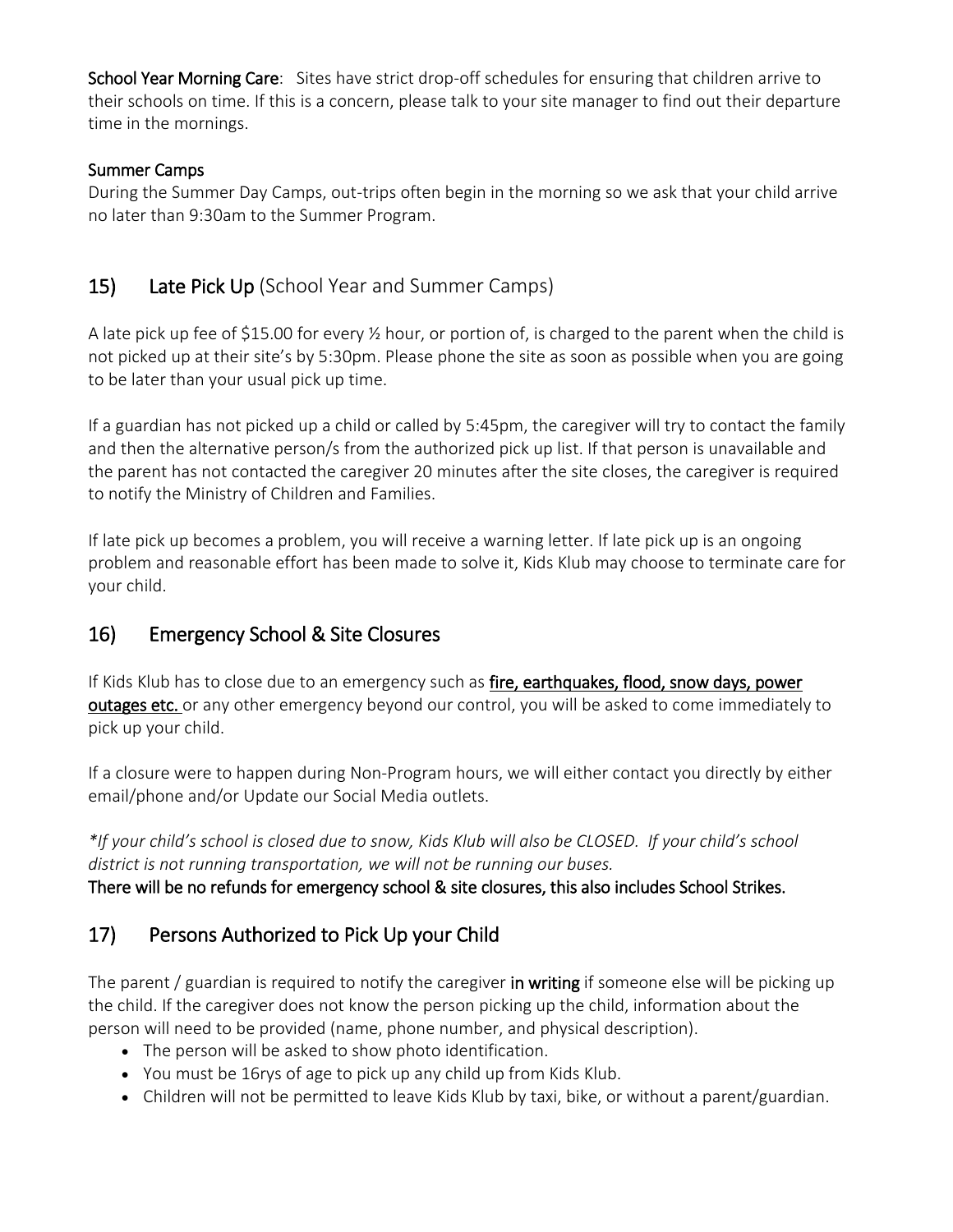School Year Morning Care: Sites have strict drop-off schedules for ensuring that children arrive to their schools on time. If this is a concern, please talk to your site manager to find out their departure time in the mornings.

#### Summer Camps

During the Summer Day Camps, out-trips often begin in the morning so we ask that your child arrive no later than 9:30am to the Summer Program.

#### 15) Late Pick Up (School Year and Summer Camps)

A late pick up fee of \$15.00 for every ½ hour, or portion of, is charged to the parent when the child is not picked up at their site's by 5:30pm. Please phone the site as soon as possible when you are going to be later than your usual pick up time.

If a guardian has not picked up a child or called by 5:45pm, the caregiver will try to contact the family and then the alternative person/s from the authorized pick up list. If that person is unavailable and the parent has not contacted the caregiver 20 minutes after the site closes, the caregiver is required to notify the Ministry of Children and Families.

If late pick up becomes a problem, you will receive a warning letter. If late pick up is an ongoing problem and reasonable effort has been made to solve it, Kids Klub may choose to terminate care for your child.

#### 16) Emergency School & Site Closures

If Kids Klub has to close due to an emergency such as *fire, earthquakes, flood, snow days, power* outages etc. or any other emergency beyond our control, you will be asked to come immediately to pick up your child.

If a closure were to happen during Non-Program hours, we will either contact you directly by either email/phone and/or Update our Social Media outlets.

\*If your child's school is closed due to snow, Kids Klub will also be CLOSED. If your child's school *district is not running transportation, we will not be running our buses.*

There will be no refunds for emergency school & site closures, this also includes School Strikes.

### 17) Persons Authorized to Pick Up your Child

The parent / guardian is required to notify the caregiver in writing if someone else will be picking up the child. If the caregiver does not know the person picking up the child, information about the person will need to be provided (name, phone number, and physical description).

- The person will be asked to show photo identification.
- You must be 16rys of age to pick up any child up from Kids Klub.
- Children will not be permitted to leave Kids Klub by taxi, bike, or without a parent/guardian.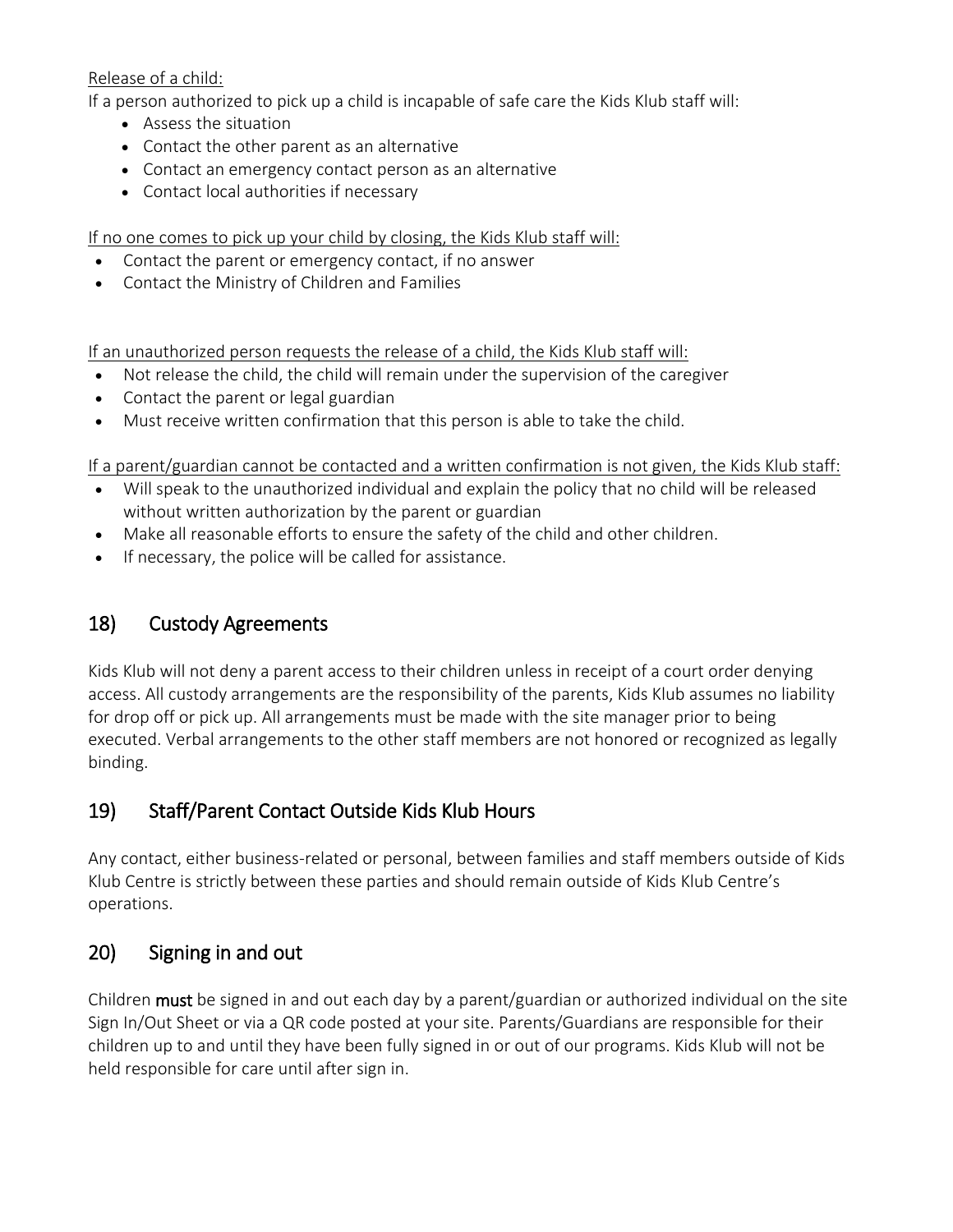#### Release of a child:

If a person authorized to pick up a child is incapable of safe care the Kids Klub staff will:

- Assess the situation
- Contact the other parent as an alternative
- Contact an emergency contact person as an alternative
- Contact local authorities if necessary

If no one comes to pick up your child by closing, the Kids Klub staff will:

- Contact the parent or emergency contact, if no answer
- Contact the Ministry of Children and Families

If an unauthorized person requests the release of a child, the Kids Klub staff will:

- Not release the child, the child will remain under the supervision of the caregiver
- Contact the parent or legal guardian
- Must receive written confirmation that this person is able to take the child.

If a parent/guardian cannot be contacted and a written confirmation is not given, the Kids Klub staff:

- Will speak to the unauthorized individual and explain the policy that no child will be released without written authorization by the parent or guardian
- Make all reasonable efforts to ensure the safety of the child and other children.
- If necessary, the police will be called for assistance.

### 18) Custody Agreements

Kids Klub will not deny a parent access to their children unless in receipt of a court order denying access. All custody arrangements are the responsibility of the parents, Kids Klub assumes no liability for drop off or pick up. All arrangements must be made with the site manager prior to being executed. Verbal arrangements to the other staff members are not honored or recognized as legally binding.

### 19) Staff/Parent Contact Outside Kids Klub Hours

Any contact, either business-related or personal, between families and staff members outside of Kids Klub Centre is strictly between these parties and should remain outside of Kids Klub Centre's operations.

### 20) Signing in and out

Children must be signed in and out each day by a parent/guardian or authorized individual on the site Sign In/Out Sheet or via a QR code posted at your site. Parents/Guardians are responsible for their children up to and until they have been fully signed in or out of our programs. Kids Klub will not be held responsible for care until after sign in.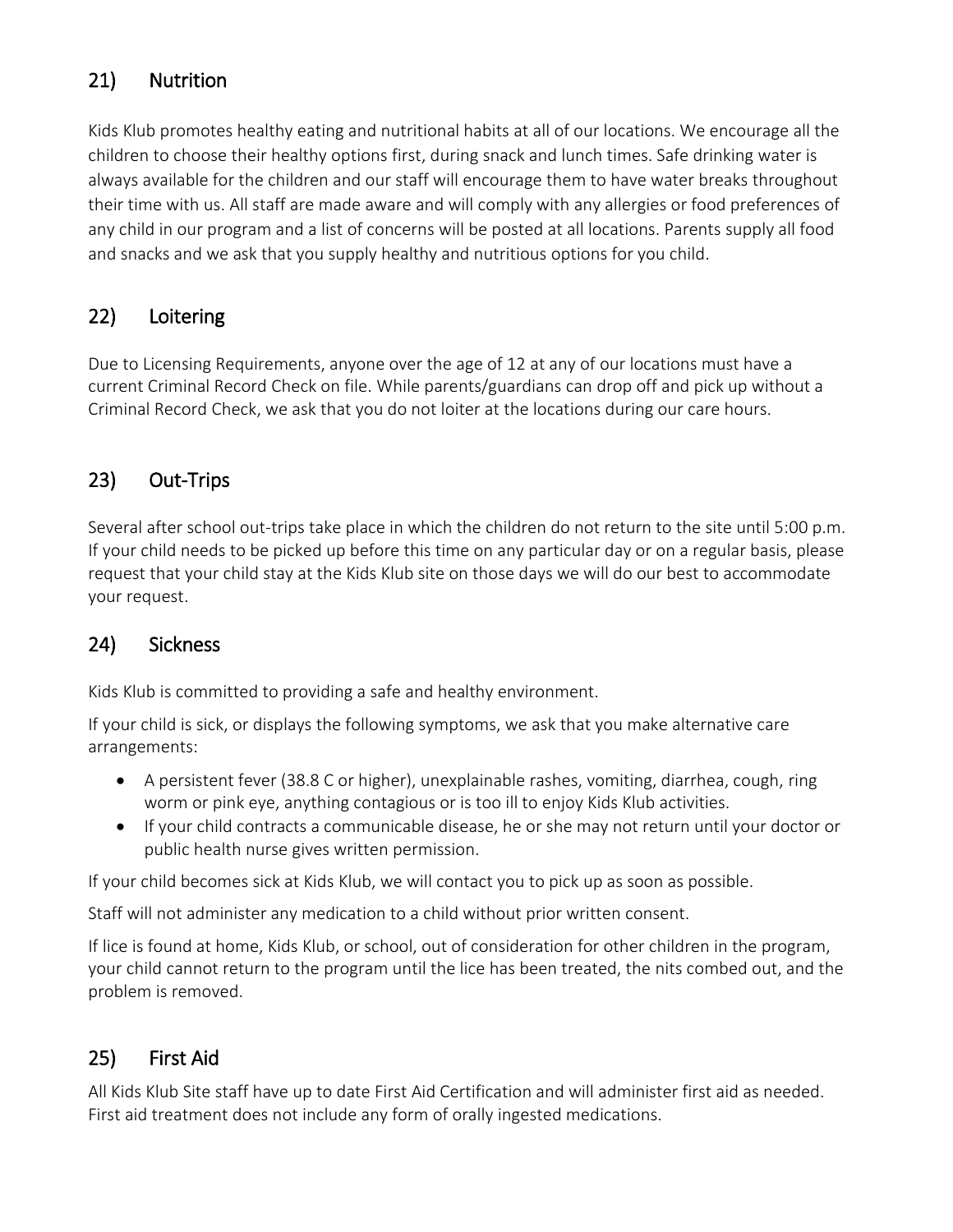# 21) Nutrition

Kids Klub promotes healthy eating and nutritional habits at all of our locations. We encourage all the children to choose their healthy options first, during snack and lunch times. Safe drinking water is always available for the children and our staff will encourage them to have water breaks throughout their time with us. All staff are made aware and will comply with any allergies or food preferences of any child in our program and a list of concerns will be posted at all locations. Parents supply all food and snacks and we ask that you supply healthy and nutritious options for you child.

# 22) Loitering

Due to Licensing Requirements, anyone over the age of 12 at any of our locations must have a current Criminal Record Check on file. While parents/guardians can drop off and pick up without a Criminal Record Check, we ask that you do not loiter at the locations during our care hours.

### 23) Out-Trips

Several after school out-trips take place in which the children do not return to the site until 5:00 p.m. If your child needs to be picked up before this time on any particular day or on a regular basis, please request that your child stay at the Kids Klub site on those days we will do our best to accommodate your request.

#### 24) Sickness

Kids Klub is committed to providing a safe and healthy environment.

If your child is sick, or displays the following symptoms, we ask that you make alternative care arrangements:

- A persistent fever (38.8 C or higher), unexplainable rashes, vomiting, diarrhea, cough, ring worm or pink eye, anything contagious or is too ill to enjoy Kids Klub activities.
- If your child contracts a communicable disease, he or she may not return until your doctor or public health nurse gives written permission.

If your child becomes sick at Kids Klub, we will contact you to pick up as soon as possible.

Staff will not administer any medication to a child without prior written consent.

If lice is found at home, Kids Klub, or school, out of consideration for other children in the program, your child cannot return to the program until the lice has been treated, the nits combed out, and the problem is removed.

# 25) First Aid

All Kids Klub Site staff have up to date First Aid Certification and will administer first aid as needed. First aid treatment does not include any form of orally ingested medications.